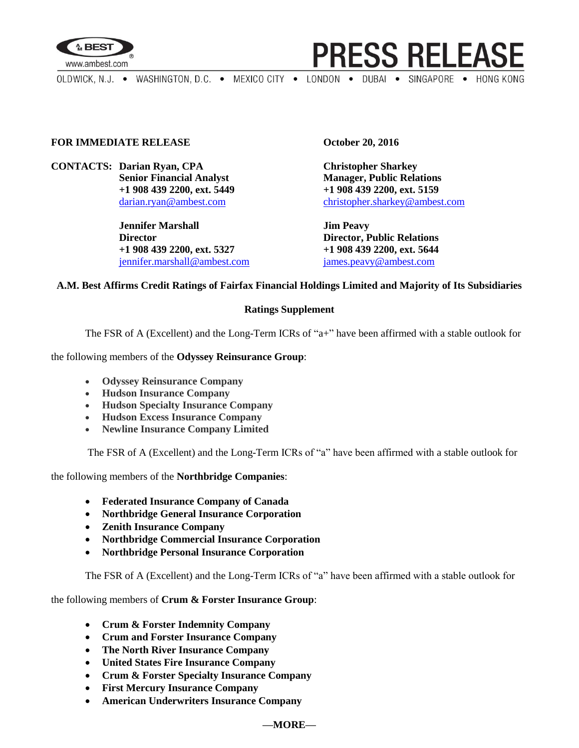



OLDWICK, N.J. . WASHINGTON, D.C. . MEXICO CITY . LONDON . DUBAI . SINGAPORE . HONG KONG

# **FOR IMMEDIATE RELEASE October 20, 2016**

**CONTACTS: Darian Ryan, CPA Christopher Sharkey**

**Jennifer Marshall Jim Peavy Director Director, Public Relations +1 908 439 2200, ext. 5327 +1 908 439 2200, ext. 5644** [jennifer.marshall@ambest.com](mailto:jennifer.marshall@ambest.com) [james.peavy@ambest.com](mailto:james.peavy@ambest.com)

**Senior Financial Analyst Manager, Public Relations +1 908 439 2200, ext. 5449 +1 908 439 2200, ext. 5159** [darian.ryan@ambest.com](mailto:darian.ryan@ambest.com) [christopher.sharkey@ambest.com](mailto:christopher.sharkey@ambest.com)

## **A.M. Best Affirms Credit Ratings of Fairfax Financial Holdings Limited and Majority of Its Subsidiaries**

#### **Ratings Supplement**

The FSR of A (Excellent) and the Long-Term ICRs of "a+" have been affirmed with a stable outlook for

the following members of the **Odyssey Reinsurance Group**:

- **Odyssey Reinsurance Company**
- **Hudson Insurance Company**
- **Hudson Specialty Insurance Company**
- **Hudson Excess Insurance Company**
- **Newline Insurance Company Limited**

The FSR of A (Excellent) and the Long-Term ICRs of "a" have been affirmed with a stable outlook for

the following members of the **Northbridge Companies**:

- **Federated Insurance Company of Canada**
- **Northbridge General Insurance Corporation**
- **Zenith Insurance Company**
- **Northbridge Commercial Insurance Corporation**
- **Northbridge Personal Insurance Corporation**

The FSR of A (Excellent) and the Long-Term ICRs of "a" have been affirmed with a stable outlook for

the following members of **Crum & Forster Insurance Group**:

- **Crum & Forster Indemnity Company**
- **Crum and Forster Insurance Company**
- **The North River Insurance Company**
- **United States Fire Insurance Company**
- **Crum & Forster Specialty Insurance Company**
- **First Mercury Insurance Company**
- **American Underwriters Insurance Company**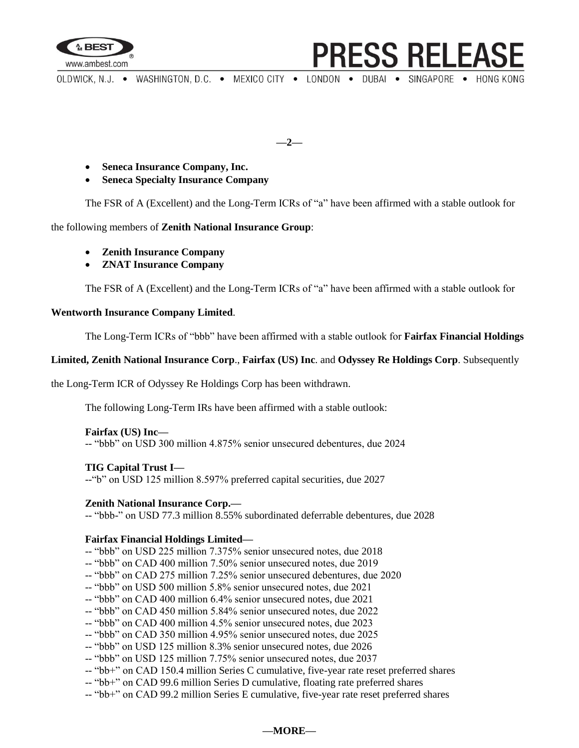

OLDWICK, N.J. . WASHINGTON, D.C. . MEXICO CITY . LONDON . DUBAI . SINGAPORE . HONG KONG

**PRESS RELEASE** 

**—2—**

- **Seneca Insurance Company, Inc.**
- **Seneca Specialty Insurance Company**

The FSR of A (Excellent) and the Long-Term ICRs of "a" have been affirmed with a stable outlook for

the following members of **Zenith National Insurance Group**:

- **Zenith Insurance Company**
- **ZNAT Insurance Company**

The FSR of A (Excellent) and the Long-Term ICRs of "a" have been affirmed with a stable outlook for

# **Wentworth Insurance Company Limited**.

The Long-Term ICRs of "bbb" have been affirmed with a stable outlook for **Fairfax Financial Holdings** 

### **Limited, Zenith National Insurance Corp**., **Fairfax (US) Inc**. and **Odyssey Re Holdings Corp**. Subsequently

the Long-Term ICR of Odyssey Re Holdings Corp has been withdrawn.

The following Long-Term IRs have been affirmed with a stable outlook:

#### **Fairfax (US) Inc—**

-- "bbb" on USD 300 million 4.875% senior unsecured debentures, due 2024

# **TIG Capital Trust I—**

--"b" on USD 125 million 8.597% preferred capital securities, due 2027

#### **Zenith National Insurance Corp.—**

-- "bbb-" on USD 77.3 million 8.55% subordinated deferrable debentures, due 2028

# **Fairfax Financial Holdings Limited—**

- -- "bbb" on USD 225 million 7.375% senior unsecured notes, due 2018
- -- "bbb" on CAD 400 million 7.50% senior unsecured notes, due 2019
- -- "bbb" on CAD 275 million 7.25% senior unsecured debentures, due 2020
- -- "bbb" on USD 500 million 5.8% senior unsecured notes, due 2021
- -- "bbb" on CAD 400 million 6.4% senior unsecured notes, due 2021
- -- "bbb" on CAD 450 million 5.84% senior unsecured notes, due 2022
- -- "bbb" on CAD 400 million 4.5% senior unsecured notes, due 2023
- -- "bbb" on CAD 350 million 4.95% senior unsecured notes, due 2025
- -- "bbb" on USD 125 million 8.3% senior unsecured notes, due 2026
- -- "bbb" on USD 125 million 7.75% senior unsecured notes, due 2037
- -- "bb+" on CAD 150.4 million Series C cumulative, five-year rate reset preferred shares
- -- "bb+" on CAD 99.6 million Series D cumulative, floating rate preferred shares
- -- "bb+" on CAD 99.2 million Series E cumulative, five-year rate reset preferred shares